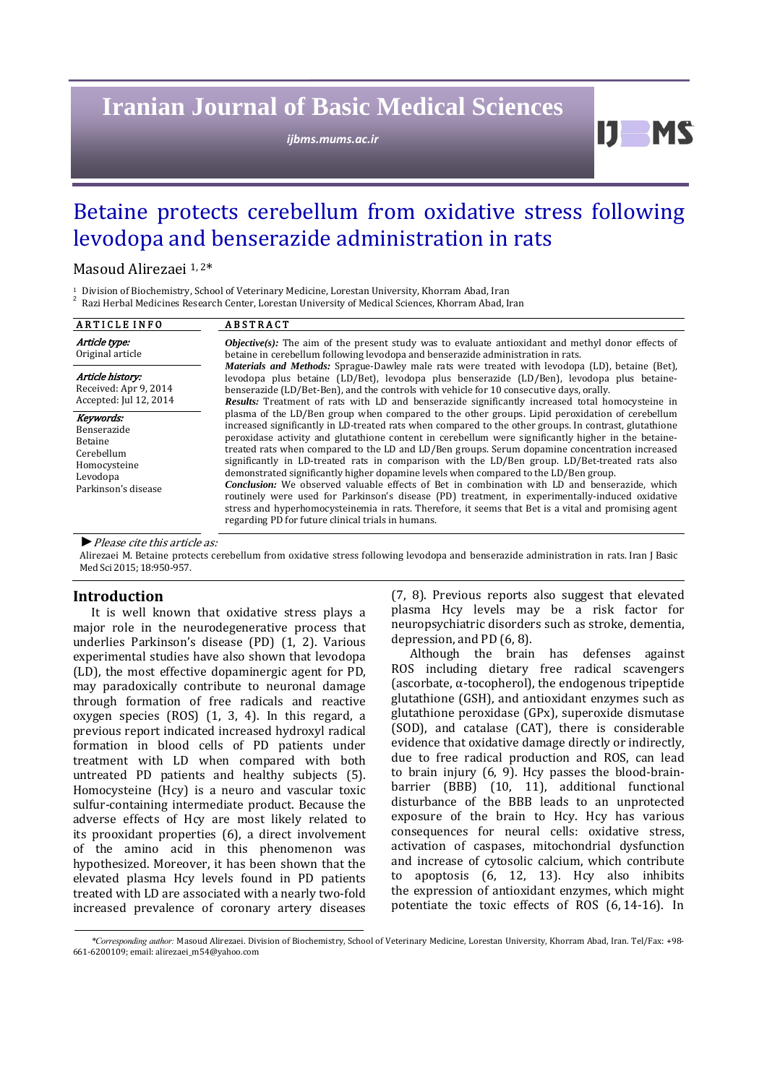# **Iranian Journal of Basic Medical Sciences**

*ijbms.mums.ac.ir*

Betaine protects cerebellum from oxidative stress following levodopa and benserazide administration in rats

Masoud Alirezaei<sup>1,2\*</sup>

<sup>1</sup> Division of Biochemistry, School of Veterinary Medicine, Lorestan University, Khorram Abad, Iran<br><sup>2</sup> Razi Herbal Medicines Research Center, Lorestan University of Medical Sciences, Khorram Abad, Iran

| Article type:                                                                                        |                                                                                                                                                                                                                                                                                                                                                                                                                                                                                                                                                                                                                                                                                                                                                                                                                                                                                                                                                                                                                                                                                                                                                                                                                                                                                                                                                                                                                                                                                                                                                                                                       |
|------------------------------------------------------------------------------------------------------|-------------------------------------------------------------------------------------------------------------------------------------------------------------------------------------------------------------------------------------------------------------------------------------------------------------------------------------------------------------------------------------------------------------------------------------------------------------------------------------------------------------------------------------------------------------------------------------------------------------------------------------------------------------------------------------------------------------------------------------------------------------------------------------------------------------------------------------------------------------------------------------------------------------------------------------------------------------------------------------------------------------------------------------------------------------------------------------------------------------------------------------------------------------------------------------------------------------------------------------------------------------------------------------------------------------------------------------------------------------------------------------------------------------------------------------------------------------------------------------------------------------------------------------------------------------------------------------------------------|
| Original article                                                                                     | <b><i>Objective(s)</i></b> : The aim of the present study was to evaluate antioxidant and methyl donor effects of<br>betaine in cerebellum following levodopa and benserazide administration in rats.<br>Materials and Methods: Sprague-Dawley male rats were treated with levodopa (LD), betaine (Bet),<br>levodopa plus betaine (LD/Bet), levodopa plus benserazide (LD/Ben), levodopa plus betaine-<br>benserazide (LD/Bet-Ben), and the controls with vehicle for 10 consecutive days, orally.<br><b>Results:</b> Treatment of rats with LD and benserazide significantly increased total homocysteine in<br>plasma of the LD/Ben group when compared to the other groups. Lipid peroxidation of cerebellum<br>increased significantly in LD-treated rats when compared to the other groups. In contrast, glutathione<br>peroxidase activity and glutathione content in cerebellum were significantly higher in the betaine-<br>treated rats when compared to the LD and LD/Ben groups. Serum dopamine concentration increased<br>significantly in LD-treated rats in comparison with the LD/Ben group. LD/Bet-treated rats also<br>demonstrated significantly higher dopamine levels when compared to the LD/Ben group.<br><b>Conclusion:</b> We observed valuable effects of Bet in combination with LD and benserazide, which<br>routinely were used for Parkinson's disease (PD) treatment, in experimentally-induced oxidative<br>stress and hyperhomocysteinemia in rats. Therefore, it seems that Bet is a vital and promising agent<br>regarding PD for future clinical trials in humans. |
| Article history:<br>Received: Apr 9, 2014<br>Accepted: Jul 12, 2014                                  |                                                                                                                                                                                                                                                                                                                                                                                                                                                                                                                                                                                                                                                                                                                                                                                                                                                                                                                                                                                                                                                                                                                                                                                                                                                                                                                                                                                                                                                                                                                                                                                                       |
| Keywords:<br>Benserazide<br>Betaine<br>Cerebellum<br>Homocysteine<br>Levodopa<br>Parkinson's disease |                                                                                                                                                                                                                                                                                                                                                                                                                                                                                                                                                                                                                                                                                                                                                                                                                                                                                                                                                                                                                                                                                                                                                                                                                                                                                                                                                                                                                                                                                                                                                                                                       |

*►*Please cite this article as: 

Alirezaei M. Betaine protects cerebellum from oxidative stress following levodopa and benserazide administration in rats. Iran J Basic Med Sci 2015; 18:950-957.

# **Introduction**

It is well known that oxidative stress plays a major role in the neurodegenerative process that underlies Parkinson's disease (PD) (1, 2). Various experimental studies have also shown that levodopa (LD), the most effective dopaminergic agent for PD, may paradoxically contribute to neuronal damage through formation of free radicals and reactive oxygen species  $(ROS)$   $(1, 3, 4)$ . In this regard, a previous report indicated increased hydroxyl radical formation in blood cells of PD patients under treatment with LD when compared with both untreated PD patients and healthy subjects (5). Homocysteine (Hcy) is a neuro and vascular toxic sulfur-containing intermediate product. Because the adverse effects of Hcy are most likely related to its prooxidant properties  $(6)$ , a direct involvement of the amino acid in this phenomenon was hypothesized. Moreover, it has been shown that the elevated plasma Hcy levels found in PD patients treated with LD are associated with a nearly two-fold increased prevalence of coronary artery diseases

(7, 8). Previous reports also suggest that elevated plasma Hcy levels may be a risk factor for neuropsychiatric disorders such as stroke, dementia, depression, and PD  $(6, 8)$ .

 $11$  MS

Although the brain has defenses against ROS including dietary free radical scavengers (ascorbate,  $\alpha$ -tocopherol), the endogenous tripeptide glutathione (GSH), and antioxidant enzymes such as glutathione peroxidase (GPx), superoxide dismutase (SOD), and catalase (CAT), there is considerable evidence that oxidative damage directly or indirectly, due to free radical production and ROS, can lead to brain injury  $(6, 9)$ . Hcy passes the blood-brainbarrier (BBB) (10, 11), additional functional disturbance of the BBB leads to an unprotected exposure of the brain to Hcy. Hcy has various consequences for neural cells: oxidative stress, activation of caspases, mitochondrial dysfunction and increase of cytosolic calcium, which contribute to apoptosis (6, 12, 13). Hcy also inhibits the expression of antioxidant enzymes, which might potentiate the toxic effects of ROS (6, 14-16). In

*<sup>\*</sup>Corresponding author:* Masoud Alirezaei. Division of Biochemistry, School of Veterinary Medicine, Lorestan University, Khorram Abad, Iran. Tel/Fax: +98‐ 661-6200109; email: alirezaei m54@yahoo.com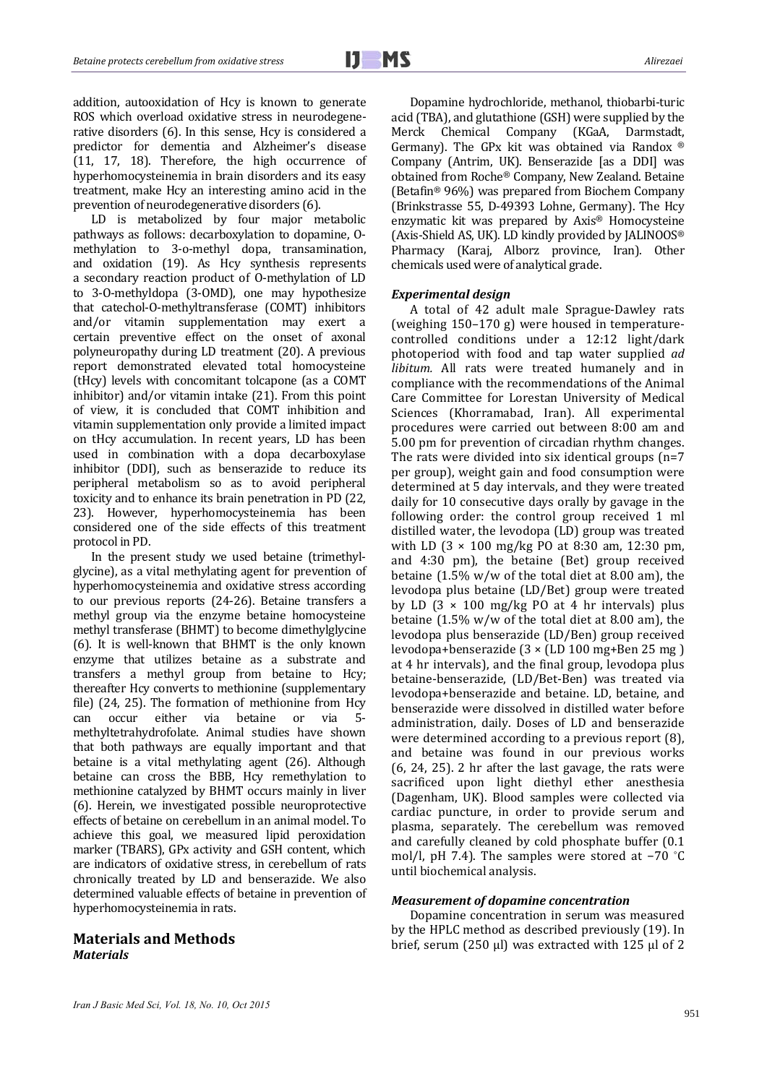addition, autooxidation of Hcy is known to generate ROS which overload oxidative stress in neurodegenerative disorders (6). In this sense, Hcy is considered a predictor for dementia and Alzheimer's disease  $(11, 17, 18)$ . Therefore, the high occurrence of hyperhomocysteinemia in brain disorders and its easy treatment, make Hcy an interesting amino acid in the prevention of neurodegenerative disorders (6).

LD is metabolized by four major metabolic pathways as follows: decarboxylation to dopamine, Omethylation to 3-o-methyl dopa, transamination, and oxidation (19). As Hcy synthesis represents a secondary reaction product of 0-methylation of LD to 3-O-methyldopa (3-OMD), one may hypothesize that catechol-O-methyltransferase (COMT) inhibitors and/or vitamin supplementation may exert a certain preventive effect on the onset of axonal polyneuropathy during LD treatment (20). A previous report demonstrated elevated total homocysteine (tHcy) levels with concomitant tolcapone (as a COMT inhibitor) and/or vitamin intake  $(21)$ . From this point of view, it is concluded that COMT inhibition and vitamin supplementation only provide a limited impact on tHcy accumulation. In recent years, LD has been used in combination with a dopa decarboxylase inhibitor (DDI), such as benserazide to reduce its peripheral metabolism so as to avoid peripheral toxicity and to enhance its brain penetration in PD (22, 23). However, hyperhomocysteinemia has been considered one of the side effects of this treatment protocol in PD.

In the present study we used betaine (trimethylglycine), as a vital methylating agent for prevention of hyperhomocysteinemia and oxidative stress according to our previous reports (24-26). Betaine transfers a methyl group via the enzyme betaine homocysteine methyl transferase (BHMT) to become dimethylglycine (6). It is well-known that BHMT is the only known enzyme that utilizes betaine as a substrate and transfers a methyl group from betaine to Hcy; thereafter Hcy converts to methionine (supplementary file)  $(24, 25)$ . The formation of methionine from Hcy can occur either via betaine or via 5methyltetrahydrofolate. Animal studies have shown that both pathways are equally important and that betaine is a vital methylating agent  $(26)$ . Although betaine can cross the BBB, Hcy remethylation to methionine catalyzed by BHMT occurs mainly in liver (6). Herein, we investigated possible neuroprotective effects of betaine on cerebellum in an animal model. To achieve this goal, we measured lipid peroxidation marker (TBARS), GPx activity and GSH content, which are indicators of oxidative stress, in cerebellum of rats chronically treated by LD and benserazide. We also determined valuable effects of betaine in prevention of hyperhomocysteinemia in rats.

# **Materials and Methods**  *Materials*

Dopamine hydrochloride, methanol, thiobarbi-turic acid (TBA), and glutathione (GSH) were supplied by the Merck Chemical Company (KGaA, Darmstadt, Germany). The GPx kit was obtained via Randox ® Company (Antrim, UK). Benserazide [as a DDI] was obtained from Roche® Company, New Zealand. Betaine (Betafin®  $96\%$ ) was prepared from Biochem Company (Brinkstrasse 55, D-49393 Lohne, Germany). The Hcy enzymatic kit was prepared by Axis® Homocysteine (Axis-Shield AS, UK). LD kindly provided by JALINOOS® Pharmacy (Karaj, Alborz province, Iran). Other chemicals used were of analytical grade.

#### *Experimental design*

A total of 42 adult male Sprague-Dawley rats (weighing  $150-170$  g) were housed in temperaturecontrolled conditions under a 12:12 light/dark photoperiod with food and tap water supplied *ad libitum.* All rats were treated humanely and in compliance with the recommendations of the Animal Care Committee for Lorestan University of Medical Sciences (Khorramabad, Iran). All experimental procedures were carried out between 8:00 am and 5.00 pm for prevention of circadian rhythm changes. The rats were divided into six identical groups  $(n=7)$ per group), weight gain and food consumption were determined at 5 day intervals, and they were treated daily for 10 consecutive days orally by gavage in the following order: the control group received 1 ml distilled water, the levodopa (LD) group was treated with LD  $(3 \times 100 \text{ mg/kg} \text{ P0 at } 8:30 \text{ am}, 12:30 \text{ pm},$ and  $4:30$  pm), the betaine (Bet) group received betaine  $(1.5\% \text{ w/w of the total diet at } 8.00 \text{ am})$ , the levodopa plus betaine (LD/Bet) group were treated by LD  $(3 \times 100 \text{ mg/kg} \text{ P0 at 4 hr intervals})$  plus betaine  $(1.5\% \text{ w/w of the total diet at } 8.00 \text{ am})$ , the levodopa plus benserazide (LD/Ben) group received levodopa+benserazide  $(3 \times (LD 100 mg+Ben 25 mg))$ at 4 hr intervals), and the final group, levodopa plus betaine-benserazide, (LD/Bet-Ben) was treated via levodopa+benserazide and betaine. LD, betaine, and benserazide were dissolved in distilled water before administration, daily. Doses of LD and benserazide were determined according to a previous report  $(8)$ , and betaine was found in our previous works  $(6, 24, 25)$ . 2 hr after the last gavage, the rats were sacrificed upon light diethyl ether anesthesia (Dagenham, UK). Blood samples were collected via cardiac puncture, in order to provide serum and plasma, separately. The cerebellum was removed and carefully cleaned by cold phosphate buffer  $(0.1)$ mol/l, pH 7.4). The samples were stored at  $-70$  °C until biochemical analysis.

#### *Measurement of dopamine concentration*

Dopamine concentration in serum was measured by the HPLC method as described previously (19). In brief, serum (250  $\mu$ l) was extracted with 125  $\mu$ l of 2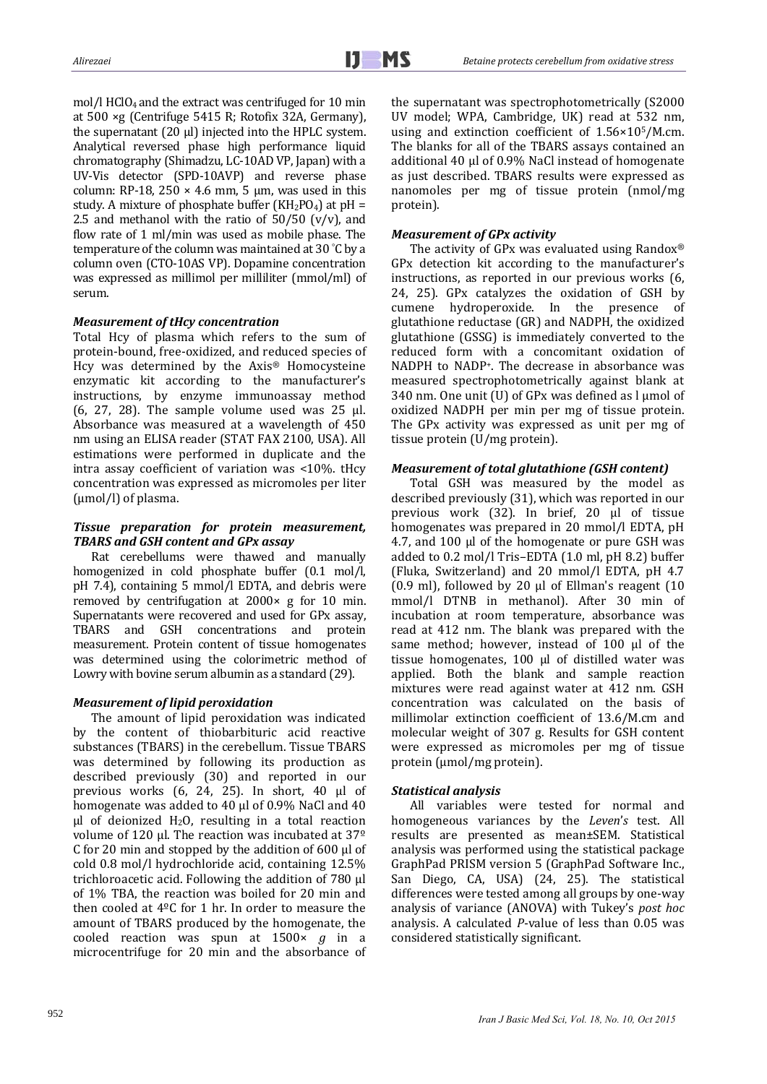mol/l HClO<sub>4</sub> and the extract was centrifuged for 10 min at  $500 \times g$  (Centrifuge  $5415$  R; Rotofix 32A, Germany), the supernatant  $(20 \mu l)$  injected into the HPLC system. Analytical reversed phase high performance liquid chromatography (Shimadzu, LC-10AD VP, Japan) with a UV-Vis detector (SPD-10AVP) and reverse phase column: RP-18, 250  $\times$  4.6 mm, 5 µm, was used in this study. A mixture of phosphate buffer  $(KH_2PO_4)$  at pH = 2.5 and methanol with the ratio of  $50/50$  (v/v), and flow rate of 1 ml/min was used as mobile phase. The temperature of the column was maintained at 30  $°C$  by a column oven (CTO-10AS VP). Dopamine concentration was expressed as millimol per milliliter (mmol/ml) of serum. 

#### *Measurement of tHcy concentration*

Total Hcy of plasma which refers to the sum of protein-bound, free-oxidized, and reduced species of Hcy was determined by the Axis® Homocysteine enzymatic kit according to the manufacturer's instructions, by enzyme immunoassay method (6, 27, 28). The sample volume used was  $25$  μl. Absorbance was measured at a wavelength of 450 nm using an ELISA reader (STAT FAX 2100, USA). All estimations were performed in duplicate and the intra assay coefficient of variation was  $\langle 10\% \rangle$ . tHcy concentration was expressed as micromoles per liter  $(numol/l)$  of plasma.

## *Tissue preparation for protein measurement, TBARS and GSH content and GPx assay*

Rat cerebellums were thawed and manually homogenized in cold phosphate buffer  $(0.1 \text{ mol/l})$ ,  $pH$  7.4), containing 5 mmol/l EDTA, and debris were removed by centrifugation at  $2000\times g$  for 10 min. Supernatants were recovered and used for GPx assay, TBARS and GSH concentrations and protein measurement. Protein content of tissue homogenates was determined using the colorimetric method of Lowry with bovine serum albumin as a standard (29).

## *Measurement of lipid peroxidation*

The amount of lipid peroxidation was indicated by the content of thiobarbituric acid reactive substances (TBARS) in the cerebellum. Tissue TBARS was determined by following its production as described previously (30) and reported in our previous works  $(6, 24, 25)$ . In short,  $40$  µl of homogenate was added to 40  $\mu$ l of 0.9% NaCl and 40  $\mu$ l of deionized H<sub>2</sub>O, resulting in a total reaction volume of 120 µl. The reaction was incubated at  $37^{\circ}$ C for 20 min and stopped by the addition of  $600 \mu$  of cold 0.8 mol/l hydrochloride acid, containing 12.5% trichloroacetic acid. Following the addition of 780 µl of 1% TBA, the reaction was boiled for 20 min and then cooled at  $4^{\circ}$ C for 1 hr. In order to measure the amount of TBARS produced by the homogenate, the cooled reaction was spun at 1500× *g* in a microcentrifuge for 20 min and the absorbance of the supernatant was spectrophotometrically (S2000 UV model; WPA, Cambridge, UK) read at 532 nm, using and extinction coefficient of  $1.56 \times 10^5/M.cm$ . The blanks for all of the TBARS assays contained an additional  $40 \mu$ l of  $0.9\%$  NaCl instead of homogenate as just described. TBARS results were expressed as nanomoles per mg of tissue protein (nmol/mg protein). 

#### *Measurement of GPx activity*

The activity of GPx was evaluated using Randox® GPx detection kit according to the manufacturer's instructions, as reported in our previous works  $(6, 6)$ 24, 25). GPx catalyzes the oxidation of GSH by cumene hydroperoxide. In the presence of glutathione reductase (GR) and NADPH, the oxidized glutathione (GSSG) is immediately converted to the reduced form with a concomitant oxidation of NADPH to NADP<sup>+</sup>. The decrease in absorbance was measured spectrophotometrically against blank at 340 nm. One unit (U) of GPx was defined as  $l \mu$ mol of oxidized NADPH per min per mg of tissue protein. The GPx activity was expressed as unit per mg of tissue protein  $(U/mg$  protein).

#### *Measurement of total glutathione (GSH content)*

Total GSH was measured by the model as described previously (31), which was reported in our previous work  $(32)$ . In brief,  $20$   $\mu$ l of tissue homogenates was prepared in 20 mmol/l EDTA, pH 4.7, and 100 μl of the homogenate or pure GSH was added to  $0.2 \text{ mol/l}$  Tris-EDTA  $(1.0 \text{ ml}, \text{pH} 8.2)$  buffer (Fluka, Switzerland) and 20 mmol/l EDTA, pH 4.7  $(0.9 \text{ ml})$ , followed by 20  $\mu$ l of Ellman's reagent  $(10 \text{ ml})$ mmol/l DTNB in methanol). After 30 min of incubation at room temperature, absorbance was read at 412 nm. The blank was prepared with the same method; however, instead of 100 μl of the tissue homogenates,  $100 \mu l$  of distilled water was applied. Both the blank and sample reaction mixtures were read against water at 412 nm. GSH concentration was calculated on the basis of millimolar extinction coefficient of 13.6/M.cm and molecular weight of 307 g. Results for GSH content were expressed as micromoles per mg of tissue protein (µmol/mg protein).

## *Statistical analysis*

All variables were tested for normal and homogeneous variances by the *Leven*'*s* test. All results are presented as mean±SEM. Statistical analysis was performed using the statistical package GraphPad PRISM version 5 (GraphPad Software Inc., San Diego, CA, USA) (24, 25). The statistical differences were tested among all groups by one-way analysis of variance (ANOVA) with Tukey's post hoc analysis. A calculated *P*-value of less than 0.05 was considered statistically significant.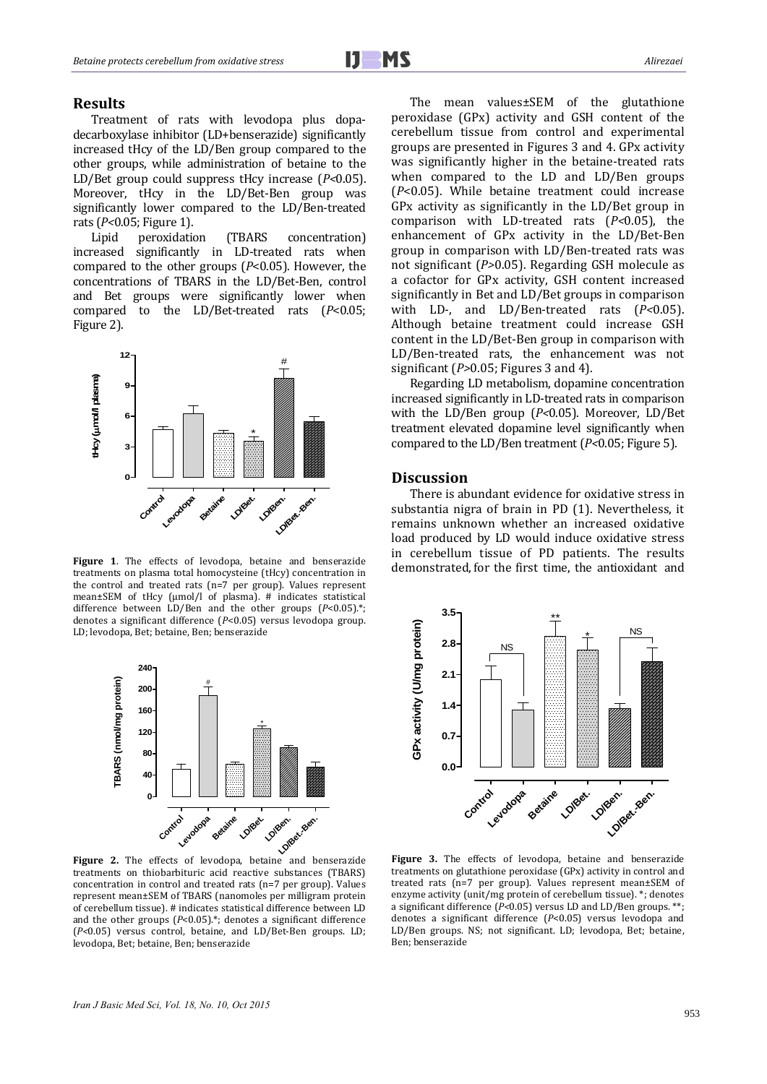#### **Results**

Treatment of rats with levodopa plus dopadecarboxylase inhibitor (LD+benserazide) significantly increased tHcy of the LD/Ben group compared to the other groups, while administration of betaine to the LD/Bet group could suppress tHcy increase (*P*<0.05). Moreover, tHcy in the LD/Bet-Ben group was significantly lower compared to the LD/Ben-treated rats (*P<*0.05; Figure 1).

Lipid peroxidation (TBARS concentration) increased significantly in LD-treated rats when compared to the other groups  $(P<0.05)$ . However, the concentrations of TBARS in the LD/Bet-Ben, control and Bet groups were significantly lower when compared to the LD/Bet-treated rats (*P*<0.05; Figure 2).



Figure 1. The effects of levodopa, betaine and benserazide treatments on plasma total homocysteine (tHcy) concentration in the control and treated rats  $(n=7$  per group). Values represent mean±SEM of tHcy  $(umol/l)$  of plasma). # indicates statistical difference between LD/Ben and the other groups  $(P<0.05)$ <sup>\*</sup>; denotes a significant difference (*P*<0.05) versus levodopa group. LD; levodopa, Bet; betaine, Ben; benserazide



Figure 2. The effects of levodopa, betaine and benserazide treatments on thiobarbituric acid reactive substances (TBARS) concentration in control and treated rats (n=7 per group). Values represent mean±SEM of TBARS (nanomoles per milligram protein of cerebellum tissue). # indicates statistical difference between LD and the other groups  $(P<0.05)$ .\*; denotes a significant difference ( $P<0.05$ ) versus control, betaine, and LD/Bet-Ben groups. LD; levodopa, Bet; betaine, Ben; benserazide

The mean values±SEM of the glutathione peroxidase (GPx) activity and GSH content of the cerebellum tissue from control and experimental groups are presented in Figures 3 and 4. GPx activity was significantly higher in the betaine-treated rats when compared to the  $LD$  and  $LD/Ben$  groups  $(P<0.05)$ . While betaine treatment could increase GPx activity as significantly in the LD/Bet group in comparison with LD-treated rats ( $P$ <0.05), the enhancement of GP<sub>x</sub> activity in the LD/Bet-Ben group in comparison with LD/Ben-treated rats was not significant (*P*>0.05). Regarding GSH molecule as a cofactor for GPx activity, GSH content increased significantly in Bet and LD/Bet groups in comparison with LD-, and LD/Ben-treated rats (*P*<0.05). Although betaine treatment could increase GSH content in the  $LD/ Bet-Ben$  group in comparison with LD/Ben-treated rats, the enhancement was not significant  $(P>0.05$ : Figures 3 and 4).

Regarding LD metabolism, dopamine concentration increased significantly in LD-treated rats in comparison with the LD/Ben group (P<0.05). Moreover, LD/Bet treatment elevated dopamine level significantly when compared to the LD/Ben treatment (*P*<0.05; Figure 5).

## **Discussion**

There is abundant evidence for oxidative stress in substantia nigra of brain in PD (1). Nevertheless, it remains unknown whether an increased oxidative load produced by LD would induce oxidative stress in cerebellum tissue of PD patients. The results demonstrated, for the first time, the antioxidant and 



Figure 3. The effects of levodopa, betaine and benserazide treatments on glutathione peroxidase (GPx) activity in control and treated rats  $(n=7$  per group). Values represent mean $\pm$ SEM of enzyme activity (unit/mg protein of cerebellum tissue). \*; denotes a significant difference  $(P<0.05)$  versus LD and LD/Ben groups. \*\*; denotes a significant difference (*P*<0.05) versus levodopa and LD/Ben groups. NS; not significant. LD; levodopa, Bet; betaine, Ben; benserazide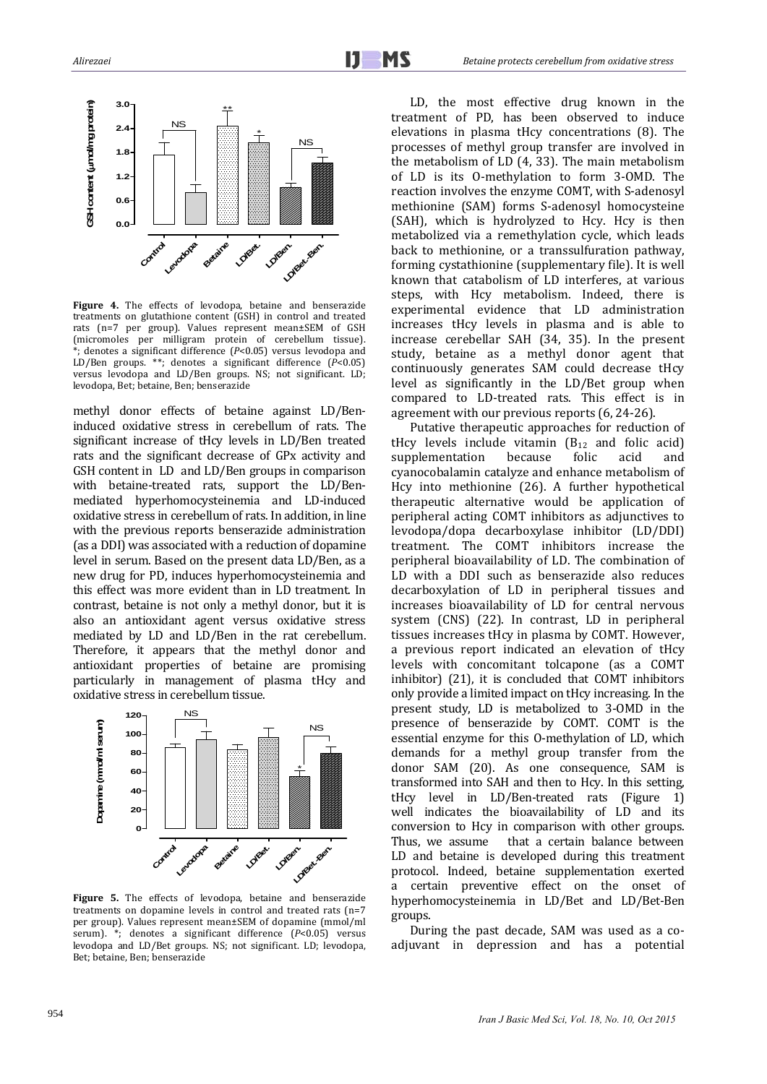

Figure 4. The effects of levodopa, betaine and benserazide treatments on glutathione content (GSH) in control and treated rats (n=7 per group). Values represent mean±SEM of GSH (micromoles per milligram protein of cerebellum tissue).  $\mathbf{F}$ ; denotes a significant difference ( $P$ <0.05) versus levodopa and LD/Ben groups. \*\*; denotes a significant difference  $(\vec{P}$ <0.05) versus levodopa and LD/Ben groups. NS; not significant. LD; levodopa, Bet; betaine, Ben; benserazide

methyl donor effects of betaine against LD/Beninduced oxidative stress in cerebellum of rats. The significant increase of tHcy levels in LD/Ben treated rats and the significant decrease of GPx activity and GSH content in LD and LD/Ben groups in comparison with betaine-treated rats, support the LD/Benmediated hyperhomocysteinemia and LD-induced oxidative stress in cerebellum of rats. In addition, in line with the previous reports benserazide administration (as a DDI) was associated with a reduction of dopamine level in serum. Based on the present data LD/Ben, as a new drug for PD, induces hyperhomocysteinemia and this effect was more evident than in LD treatment. In contrast, betaine is not only a methyl donor, but it is also an antioxidant agent versus oxidative stress mediated by LD and LD/Ben in the rat cerebellum. Therefore, it appears that the methyl donor and antioxidant properties of betaine are promising particularly in management of plasma tHcy and oxidative stress in cerebellum tissue.



**Figure** 5. The effects of levodopa, betaine and benserazide treatments on dopamine levels in control and treated rats  $(n=7)$ per group). Values represent mean±SEM of dopamine (mmol/ml serum). \*; denotes a significant difference (*P*<0.05) versus levodopa and LD/Bet groups. NS; not significant. LD; levodopa, Bet; betaine, Ben; benserazide

LD, the most effective drug known in the treatment of PD, has been observed to induce elevations in plasma tHcy concentrations  $(8)$ . The processes of methyl group transfer are involved in the metabolism of LD  $(4, 33)$ . The main metabolism of LD is its O-methylation to form 3-OMD. The reaction involves the enzyme COMT, with S-adenosyl methionine (SAM) forms S-adenosyl homocysteine (SAH), which is hydrolyzed to Hcy. Hcy is then metabolized via a remethylation cycle, which leads back to methionine, or a transsulfuration pathway, forming cystathionine (supplementary file). It is well known that catabolism of LD interferes, at various steps, with Hcy metabolism. Indeed, there is experimental evidence that LD administration increases tHcy levels in plasma and is able to increase cerebellar SAH (34, 35). In the present study, betaine as a methyl donor agent that continuously generates SAM could decrease tHcy level as significantly in the LD/Bet group when compared to LD-treated rats. This effect is in agreement with our previous reports (6, 24-26).

Putative therapeutic approaches for reduction of tHcy levels include vitamin  $(B_{12}$  and folic acid) supplementation because folic acid and cyanocobalamin catalyze and enhance metabolism of Hcy into methionine (26). A further hypothetical therapeutic alternative would be application of peripheral acting COMT inhibitors as adjunctives to levodopa/dopa decarboxylase inhibitor (LD/DDI) treatment. The COMT inhibitors increase the peripheral bioavailability of LD. The combination of LD with a DDI such as benserazide also reduces decarboxylation of LD in peripheral tissues and increases bioavailability of LD for central nervous system (CNS) (22). In contrast, LD in peripheral tissues increases tHcy in plasma by COMT. However, a previous report indicated an elevation of tHcy levels with concomitant tolcapone (as a COMT  $i$ nhibitor) (21), it is concluded that COMT inhibitors only provide a limited impact on tHcy increasing. In the present study, LD is metabolized to 3-OMD in the presence of benserazide by COMT. COMT is the essential enzyme for this O-methylation of LD, which demands for a methyl group transfer from the donor SAM (20). As one consequence, SAM is transformed into SAH and then to Hcy. In this setting, tHcy level in LD/Ben-treated rats (Figure 1) well indicates the bioavailability of LD and its conversion to Hcy in comparison with other groups. Thus, we assume that a certain balance between LD and betaine is developed during this treatment protocol. Indeed, betaine supplementation exerted a certain preventive effect on the onset of hyperhomocysteinemia in LD/Bet and LD/Bet-Ben groups. 

During the past decade, SAM was used as a coadjuvant in depression and has a potential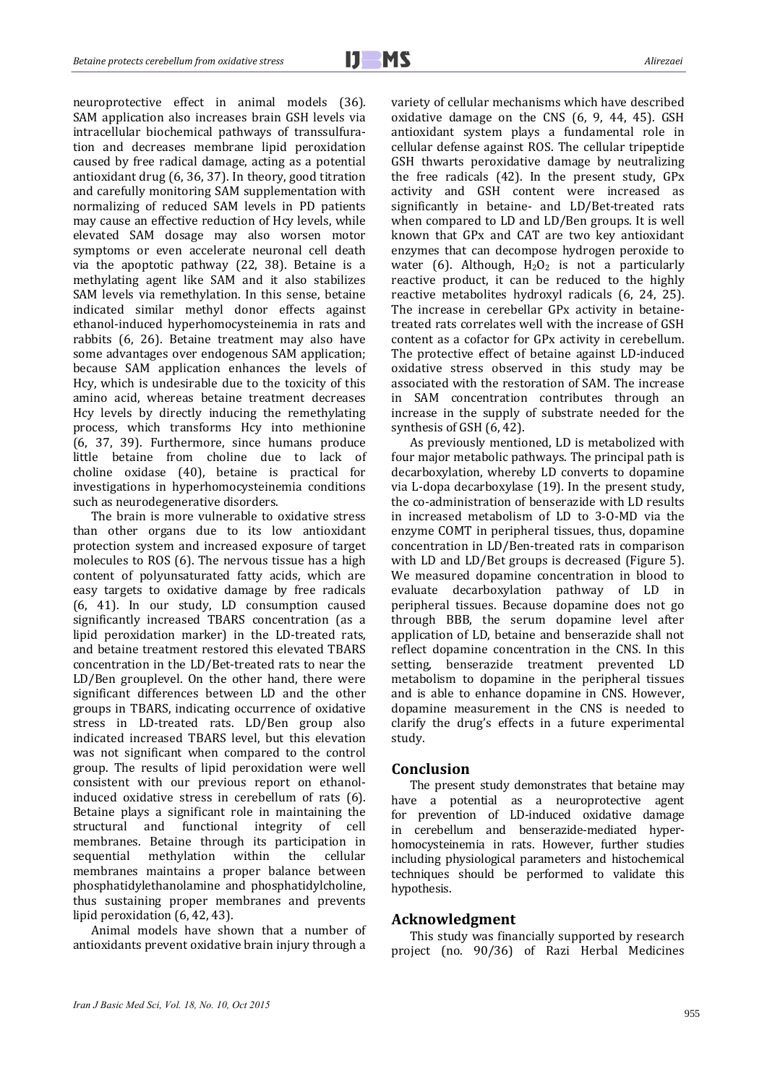neuroprotective effect in animal models (36). SAM application also increases brain GSH levels via intracellular biochemical pathways of transsulfuration and decreases membrane lipid peroxidation caused by free radical damage, acting as a potential antioxidant drug  $(6, 36, 37)$ . In theory, good titration and carefully monitoring SAM supplementation with normalizing of reduced SAM levels in PD patients may cause an effective reduction of Hcy levels, while elevated SAM dosage may also worsen motor symptoms or even accelerate neuronal cell death via the apoptotic pathway (22, 38). Betaine is a methylating agent like SAM and it also stabilizes SAM levels via remethylation. In this sense, betaine indicated similar methyl donor effects against ethanol-induced hyperhomocysteinemia in rats and rabbits  $(6, 26)$ . Betaine treatment may also have some advantages over endogenous SAM application; because SAM application enhances the levels of Hcy, which is undesirable due to the toxicity of this amino acid, whereas betaine treatment decreases Hcy levels by directly inducing the remethylating process, which transforms Hcy into methionine (6, 37, 39). Furthermore, since humans produce little betaine from choline due to lack of choline oxidase (40), betaine is practical for investigations in hyperhomocysteinemia conditions such as neurodegenerative disorders.

The brain is more vulnerable to oxidative stress than other organs due to its low antioxidant protection system and increased exposure of target molecules to ROS (6). The nervous tissue has a high content of polyunsaturated fatty acids, which are easy targets to oxidative damage by free radicals (6, 41). In our study, LD consumption caused significantly increased TBARS concentration (as a lipid peroxidation marker) in the LD-treated rats, and betaine treatment restored this elevated TBARS concentration in the LD/Bet-treated rats to near the  $LD/Ben$  grouplevel. On the other hand, there were significant differences between LD and the other groups in TBARS, indicating occurrence of oxidative stress in LD-treated rats. LD/Ben group also indicated increased TBARS level, but this elevation was not significant when compared to the control group. The results of lipid peroxidation were well consistent with our previous report on ethanolinduced oxidative stress in cerebellum of rats (6). Betaine plays a significant role in maintaining the structural and functional integrity of cell membranes. Betaine through its participation in sequential methylation within the cellular membranes maintains a proper balance between phosphatidylethanolamine and phosphatidylcholine, thus sustaining proper membranes and prevents lipid peroxidation  $(6, 42, 43)$ .

Animal models have shown that a number of antioxidants prevent oxidative brain injury through a

variety of cellular mechanisms which have described oxidative damage on the CNS  $(6, 9, 44, 45)$ . GSH antioxidant system plays a fundamental role in cellular defense against ROS. The cellular tripeptide GSH thwarts peroxidative damage by neutralizing the free radicals  $(42)$ . In the present study,  $GPX$ activity and GSH content were increased as significantly in betaine- and LD/Bet-treated rats when compared to LD and LD/Ben groups. It is well known that GPx and CAT are two key antioxidant enzymes that can decompose hydrogen peroxide to water (6). Although,  $H_2O_2$  is not a particularly reactive product, it can be reduced to the highly reactive metabolites hydroxyl radicals (6, 24, 25). The increase in cerebellar GPx activity in betainetreated rats correlates well with the increase of GSH content as a cofactor for GPx activity in cerebellum. The protective effect of betaine against LD-induced oxidative stress observed in this study may be associated with the restoration of SAM. The increase in SAM concentration contributes through an increase in the supply of substrate needed for the synthesis of GSH (6, 42).

As previously mentioned, LD is metabolized with four major metabolic pathways. The principal path is decarboxylation, whereby LD converts to dopamine via L-dopa decarboxylase (19). In the present study, the co-administration of benserazide with LD results in increased metabolism of LD to 3-O-MD via the enzyme COMT in peripheral tissues, thus, dopamine concentration in LD/Ben-treated rats in comparison with LD and LD/Bet groups is decreased (Figure 5). We measured dopamine concentration in blood to evaluate decarboxylation pathway of LD in peripheral tissues. Because dopamine does not go through BBB, the serum dopamine level after application of LD, betaine and benserazide shall not reflect dopamine concentration in the CNS. In this setting, benserazide treatment prevented LD metabolism to dopamine in the peripheral tissues and is able to enhance dopamine in CNS. However, dopamine measurement in the CNS is needed to clarify the drug's effects in a future experimental study. 

## **Conclusion**

The present study demonstrates that betaine may have a potential as a neuroprotective agent for prevention of LD-induced oxidative damage in cerebellum and benserazide-mediated hyperhomocysteinemia in rats. However, further studies including physiological parameters and histochemical techniques should be performed to validate this hypothesis. 

## **Acknowledgment**

This study was financially supported by research project (no. 90/36) of Razi Herbal Medicines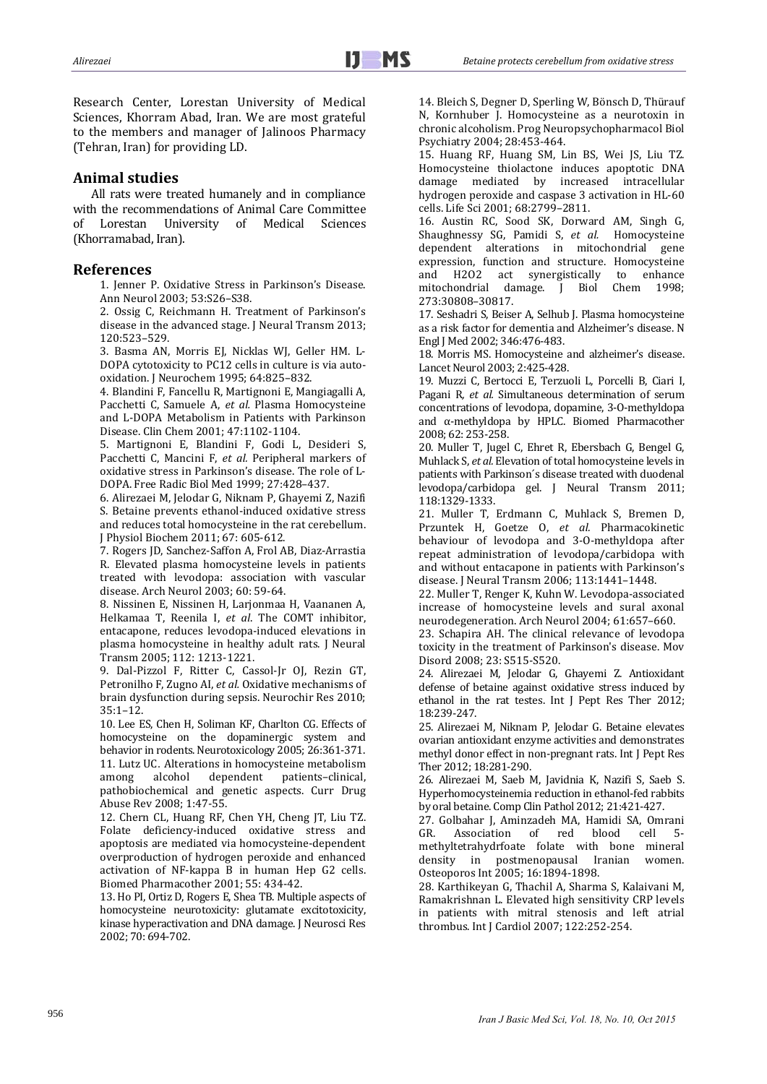Research Center, Lorestan University of Medical Sciences, Khorram Abad, Iran. We are most grateful to the members and manager of Jalinoos Pharmacy (Tehran, Iran) for providing LD.

## **Animal studies**

All rats were treated humanely and in compliance with the recommendations of Animal Care Committee of Lorestan University of Medical Sciences (Khorramabad, Iran).

## **References**

1. Jenner P. Oxidative Stress in Parkinson's Disease. Ann Neurol 2003; 53:S26-S38.

2. Ossig C, Reichmann H. Treatment of Parkinson's disease in the advanced stage. J Neural Transm 2013; 120:523–529. 

3. Basma AN, Morris EJ, Nicklas WJ, Geller HM. L-DOPA cytotoxicity to PC12 cells in culture is via autooxidation. J Neurochem 1995; 64:825-832.

4. Blandini F, Fancellu R, Martignoni E, Mangiagalli A, Pacchetti C, Samuele A, *et al.* Plasma Homocysteine and L-DOPA Metabolism in Patients with Parkinson Disease. Clin Chem 2001; 47:1102-1104.

5. Martignoni E, Blandini F, Godi L, Desideri S, Pacchetti C, Mancini F, et al. Peripheral markers of oxidative stress in Parkinson's disease. The role of L-DOPA. Free Radic Biol Med 1999; 27:428-437.

6. Alirezaei M, Jelodar G, Niknam P, Ghayemi Z, Nazifi S. Betaine prevents ethanol-induced oxidative stress and reduces total homocysteine in the rat cerebellum. J Physiol Biochem 2011; 67: 605-612.

7. Rogers JD, Sanchez-Saffon A, Frol AB, Diaz-Arrastia R. Elevated plasma homocysteine levels in patients treated with levodopa: association with vascular disease. Arch Neurol 2003: 60: 59-64.

8. Nissinen E, Nissinen H, Larjonmaa H, Vaananen A, Helkamaa T, Reenila I, et al. The COMT inhibitor, entacapone, reduces levodopa-induced elevations in plasma homocysteine in healthy adult rats. J Neural Transm 2005; 112: 1213‐1221. 

9. Dal-Pizzol F, Ritter C, Cassol-Jr OJ, Rezin GT, Petronilho F, Zugno AI, *et al.* Oxidative mechanisms of brain dysfunction during sepsis. Neurochir Res 2010; 35:1–12. 

10. Lee ES, Chen H, Soliman KF, Charlton CG. Effects of homocysteine on the dopaminergic system and behavior in rodents. Neurotoxicology 2005; 26:361-371. 11. Lutz UC. Alterations in homocysteine metabolism among alcohol dependent patients–clinical, pathobiochemical and genetic aspects. Curr Drug Abuse Rev 2008; 1:47-55.

12. Chern CL, Huang RF, Chen YH, Cheng JT, Liu TZ. Folate deficiency-induced oxidative stress and apoptosis are mediated via homocysteine-dependent overproduction of hydrogen peroxide and enhanced activation of NF-kappa B in human Hep G2 cells. Biomed Pharmacother 2001; 55: 434-42.

13. Ho PI, Ortiz D, Rogers E, Shea TB. Multiple aspects of homocysteine neurotoxicity: glutamate excitotoxicity, kinase hyperactivation and DNA damage. J Neurosci Res 2002; 70: 694‐702. 

14. Bleich S, Degner D, Sperling W, Bönsch D, Thürauf N, Kornhuber J. Homocysteine as a neurotoxin in chronic alcoholism. Prog Neuropsychopharmacol Biol Psychiatry 2004; 28:453-464.

15. Huang RF, Huang SM, Lin BS, Wei JS, Liu TZ. Homocysteine thiolactone induces apoptotic DNA damage mediated by increased intracellular hydrogen peroxide and caspase 3 activation in HL-60 cells. Life Sci 2001; 68:2799-2811.

16. Austin RC, Sood SK, Dorward AM, Singh G, Shaughnessy SG, Pamidi S, et al. Homocysteine dependent alterations in mitochondrial gene expression, function and structure. Homocysteine and H2O2 act synergistically to enhance mitochondrial damage. J Biol Chem 1998; 273:30808–30817. 

17. Seshadri S, Beiser A, Selhub J. Plasma homocysteine as a risk factor for dementia and Alzheimer's disease. N Engl J Med 2002; 346:476-483.

18. Morris MS. Homocysteine and alzheimer's disease. Lancet Neurol 2003; 2:425-428.

19. Muzzi C, Bertocci E, Terzuoli L, Porcelli B, Ciari I, Pagani R, et al. Simultaneous determination of serum concentrations of levodopa, dopamine, 3-O-methyldopa and  $\alpha$ -methyldopa by HPLC. Biomed Pharmacother 2008: 62: 253-258.

20. Muller T, Jugel C, Ehret R, Ebersbach G, Bengel G, Muhlack S, et al. Elevation of total homocysteine levels in patients with Parkinson's disease treated with duodenal levodopa/carbidopa gel. J Neural Transm 2011; 118:1329‐1333. 

21. Muller T, Erdmann C, Muhlack S, Bremen D, Przuntek H, Goetze O, *et al.* Pharmacokinetic behaviour of levodopa and 3-O-methyldopa after repeat administration of levodopa/carbidopa with and without entacapone in patients with Parkinson's disease. J Neural Transm 2006; 113:1441-1448.

22. Muller T, Renger K, Kuhn W. Levodopa-associated increase of homocysteine levels and sural axonal neurodegeneration. Arch Neurol 2004; 61:657-660.

23. Schapira AH. The clinical relevance of levodopa toxicity in the treatment of Parkinson's disease. Mov Disord 2008; 23: S515-S520.

24. Alirezaei M, Jelodar G, Ghayemi Z. Antioxidant defense of betaine against oxidative stress induced by ethanol in the rat testes. Int J Pept Res Ther 2012; 18:239‐247. 

25. Alirezaei M, Niknam P, Jelodar G. Betaine elevates ovarian antioxidant enzyme activities and demonstrates methyl donor effect in non-pregnant rats. Int J Pept Res Ther 2012; 18:281-290.

26. Alirezaei M, Saeb M, Javidnia K, Nazifi S, Saeb S. Hyperhomocysteinemia reduction in ethanol-fed rabbits by oral betaine. Comp Clin Pathol 2012; 21:421-427.

27. Golbahar J, Aminzadeh MA, Hamidi SA, Omrani GR. Association of red blood cell 5methyltetrahydrfoate folate with bone mineral density in postmenopausal Iranian women. Osteoporos Int 2005; 16:1894-1898.

28. Karthikeyan G, Thachil A, Sharma S, Kalaivani M, Ramakrishnan L. Elevated high sensitivity CRP levels in patients with mitral stenosis and left atrial thrombus. Int J Cardiol 2007; 122:252-254.